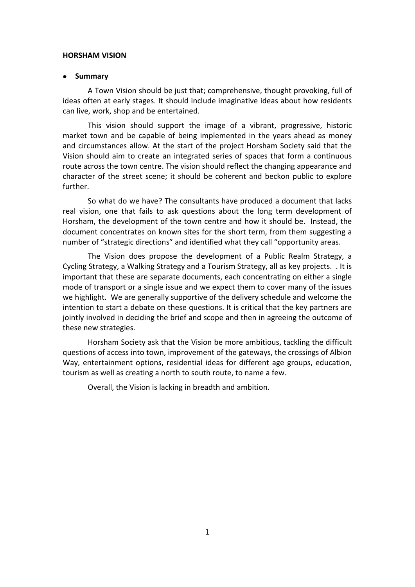#### **HORSHAM VISION**

#### • **Summary**

A Town Vision should be just that; comprehensive, thought provoking, full of ideas often at early stages. It should include imaginative ideas about how residents can live, work, shop and be entertained.

This vision should support the image of a vibrant, progressive, historic market town and be capable of being implemented in the years ahead as money and circumstances allow. At the start of the project Horsham Society said that the Vision should aim to create an integrated series of spaces that form a continuous route across the town centre. The vision should reflect the changing appearance and character of the street scene; it should be coherent and beckon public to explore further.

So what do we have? The consultants have produced a document that lacks real vision, one that fails to ask questions about the long term development of Horsham, the development of the town centre and how it should be. Instead, the document concentrates on known sites for the short term, from them suggesting a number of "strategic directions" and identified what they call "opportunity areas.

The Vision does propose the development of a Public Realm Strategy, a Cycling Strategy, a Walking Strategy and a Tourism Strategy, all as key projects. . It is important that these are separate documents, each concentrating on either a single mode of transport or a single issue and we expect them to cover many of the issues we highlight. We are generally supportive of the delivery schedule and welcome the intention to start a debate on these questions. It is critical that the key partners are jointly involved in deciding the brief and scope and then in agreeing the outcome of these new strategies.

Horsham Society ask that the Vision be more ambitious, tackling the difficult questions of access into town, improvement of the gateways, the crossings of Albion Way, entertainment options, residential ideas for different age groups, education, tourism as well as creating a north to south route, to name a few.

Overall, the Vision is lacking in breadth and ambition.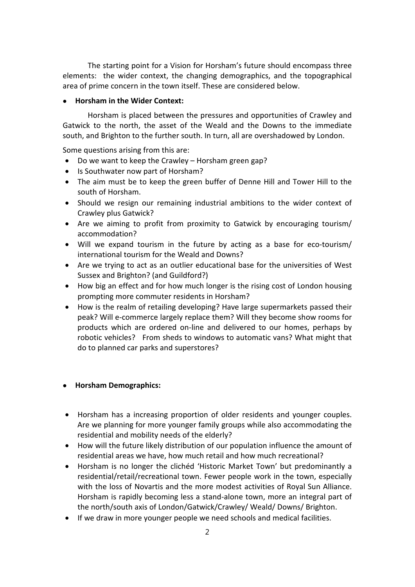The starting point for a Vision for Horsham's future should encompass three elements: the wider context, the changing demographics, and the topographical area of prime concern in the town itself. These are considered below.

## • **Horsham in the Wider Context:**

Horsham is placed between the pressures and opportunities of Crawley and Gatwick to the north, the asset of the Weald and the Downs to the immediate south, and Brighton to the further south. In turn, all are overshadowed by London.

Some questions arising from this are:

- Do we want to keep the Crawley Horsham green gap?
- Is Southwater now part of Horsham?
- The aim must be to keep the green buffer of Denne Hill and Tower Hill to the south of Horsham.
- Should we resign our remaining industrial ambitions to the wider context of Crawley plus Gatwick?
- Are we aiming to profit from proximity to Gatwick by encouraging tourism/ accommodation?
- Will we expand tourism in the future by acting as a base for eco-tourism/ international tourism for the Weald and Downs?
- Are we trying to act as an outlier educational base for the universities of West Sussex and Brighton? (and Guildford?)
- How big an effect and for how much longer is the rising cost of London housing prompting more commuter residents in Horsham?
- How is the realm of retailing developing? Have large supermarkets passed their peak? Will e-commerce largely replace them? Will they become show rooms for products which are ordered on-line and delivered to our homes, perhaps by robotic vehicles? From sheds to windows to automatic vans? What might that do to planned car parks and superstores?

## • **Horsham Demographics:**

- Horsham has a increasing proportion of older residents and younger couples. Are we planning for more younger family groups while also accommodating the residential and mobility needs of the elderly?
- How will the future likely distribution of our population influence the amount of residential areas we have, how much retail and how much recreational?
- Horsham is no longer the clichéd 'Historic Market Town' but predominantly a residential/retail/recreational town. Fewer people work in the town, especially with the loss of Novartis and the more modest activities of Royal Sun Alliance. Horsham is rapidly becoming less a stand-alone town, more an integral part of the north/south axis of London/Gatwick/Crawley/ Weald/ Downs/ Brighton.
- If we draw in more younger people we need schools and medical facilities.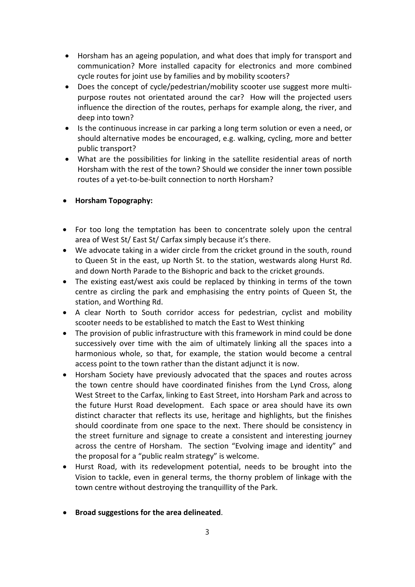- Horsham has an ageing population, and what does that imply for transport and communication? More installed capacity for electronics and more combined cycle routes for joint use by families and by mobility scooters?
- Does the concept of cycle/pedestrian/mobility scooter use suggest more multipurpose routes not orientated around the car? How will the projected users influence the direction of the routes, perhaps for example along, the river, and deep into town?
- Is the continuous increase in car parking a long term solution or even a need, or should alternative modes be encouraged, e.g. walking, cycling, more and better public transport?
- What are the possibilities for linking in the satellite residential areas of north Horsham with the rest of the town? Should we consider the inner town possible routes of a yet-to-be-built connection to north Horsham?
- **Horsham Topography:**
- For too long the temptation has been to concentrate solely upon the central area of West St/ East St/ Carfax simply because it's there.
- We advocate taking in a wider circle from the cricket ground in the south, round to Queen St in the east, up North St. to the station, westwards along Hurst Rd. and down North Parade to the Bishopric and back to the cricket grounds.
- The existing east/west axis could be replaced by thinking in terms of the town centre as circling the park and emphasising the entry points of Queen St, the station, and Worthing Rd.
- A clear North to South corridor access for pedestrian, cyclist and mobility scooter needs to be established to match the East to West thinking
- The provision of public infrastructure with this framework in mind could be done successively over time with the aim of ultimately linking all the spaces into a harmonious whole, so that, for example, the station would become a central access point to the town rather than the distant adjunct it is now.
- Horsham Society have previously advocated that the spaces and routes across the town centre should have coordinated finishes from the Lynd Cross, along West Street to the Carfax, linking to East Street, into Horsham Park and across to the future Hurst Road development. Each space or area should have its own distinct character that reflects its use, heritage and highlights, but the finishes should coordinate from one space to the next. There should be consistency in the street furniture and signage to create a consistent and interesting journey across the centre of Horsham. The section "Evolving image and identity" and the proposal for a "public realm strategy" is welcome.
- Hurst Road, with its redevelopment potential, needs to be brought into the Vision to tackle, even in general terms, the thorny problem of linkage with the town centre without destroying the tranquillity of the Park.
- **Broad suggestions for the area delineated**.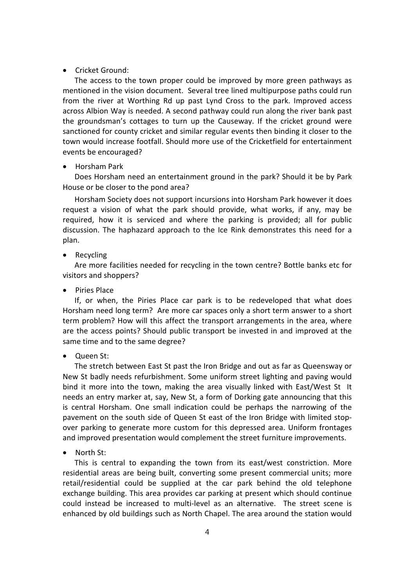## • Cricket Ground:

The access to the town proper could be improved by more green pathways as mentioned in the vision document. Several tree lined multipurpose paths could run from the river at Worthing Rd up past Lynd Cross to the park. Improved access across Albion Way is needed. A second pathway could run along the river bank past the groundsman's cottages to turn up the Causeway. If the cricket ground were sanctioned for county cricket and similar regular events then binding it closer to the town would increase footfall. Should more use of the Cricketfield for entertainment events be encouraged?

## • Horsham Park

Does Horsham need an entertainment ground in the park? Should it be by Park House or be closer to the pond area?

Horsham Society does not support incursions into Horsham Park however it does request a vision of what the park should provide, what works, if any, may be required, how it is serviced and where the parking is provided; all for public discussion. The haphazard approach to the Ice Rink demonstrates this need for a plan.

• Recycling

Are more facilities needed for recycling in the town centre? Bottle banks etc for visitors and shoppers?

• Piries Place

If, or when, the Piries Place car park is to be redeveloped that what does Horsham need long term? Are more car spaces only a short term answer to a short term problem? How will this affect the transport arrangements in the area, where are the access points? Should public transport be invested in and improved at the same time and to the same degree?

• Queen St:

The stretch between East St past the Iron Bridge and out as far as Queensway or New St badly needs refurbishment. Some uniform street lighting and paving would bind it more into the town, making the area visually linked with East/West St It needs an entry marker at, say, New St, a form of Dorking gate announcing that this is central Horsham. One small indication could be perhaps the narrowing of the pavement on the south side of Queen St east of the Iron Bridge with limited stopover parking to generate more custom for this depressed area. Uniform frontages and improved presentation would complement the street furniture improvements.

• North St:

This is central to expanding the town from its east/west constriction. More residential areas are being built, converting some present commercial units; more retail/residential could be supplied at the car park behind the old telephone exchange building. This area provides car parking at present which should continue could instead be increased to multi-level as an alternative. The street scene is enhanced by old buildings such as North Chapel. The area around the station would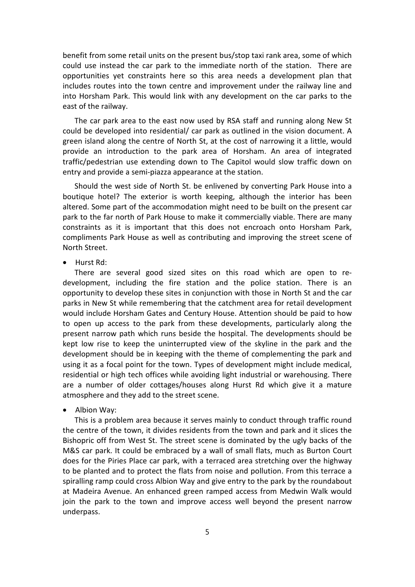benefit from some retail units on the present bus/stop taxi rank area, some of which could use instead the car park to the immediate north of the station. There are opportunities yet constraints here so this area needs a development plan that includes routes into the town centre and improvement under the railway line and into Horsham Park. This would link with any development on the car parks to the east of the railway.

The car park area to the east now used by RSA staff and running along New St could be developed into residential/ car park as outlined in the vision document. A green island along the centre of North St, at the cost of narrowing it a little, would provide an introduction to the park area of Horsham. An area of integrated traffic/pedestrian use extending down to The Capitol would slow traffic down on entry and provide a semi-piazza appearance at the station.

Should the west side of North St. be enlivened by converting Park House into a boutique hotel? The exterior is worth keeping, although the interior has been altered. Some part of the accommodation might need to be built on the present car park to the far north of Park House to make it commercially viable. There are many constraints as it is important that this does not encroach onto Horsham Park, compliments Park House as well as contributing and improving the street scene of North Street.

• Hurst Rd:

There are several good sized sites on this road which are open to redevelopment, including the fire station and the police station. There is an opportunity to develop these sites in conjunction with those in North St and the car parks in New St while remembering that the catchment area for retail development would include Horsham Gates and Century House. Attention should be paid to how to open up access to the park from these developments, particularly along the present narrow path which runs beside the hospital. The developments should be kept low rise to keep the uninterrupted view of the skyline in the park and the development should be in keeping with the theme of complementing the park and using it as a focal point for the town. Types of development might include medical, residential or high tech offices while avoiding light industrial or warehousing. There are a number of older cottages/houses along Hurst Rd which give it a mature atmosphere and they add to the street scene.

• Albion Way:

This is a problem area because it serves mainly to conduct through traffic round the centre of the town, it divides residents from the town and park and it slices the Bishopric off from West St. The street scene is dominated by the ugly backs of the M&S car park. It could be embraced by a wall of small flats, much as Burton Court does for the Piries Place car park, with a terraced area stretching over the highway to be planted and to protect the flats from noise and pollution. From this terrace a spiralling ramp could cross Albion Way and give entry to the park by the roundabout at Madeira Avenue. An enhanced green ramped access from Medwin Walk would join the park to the town and improve access well beyond the present narrow underpass.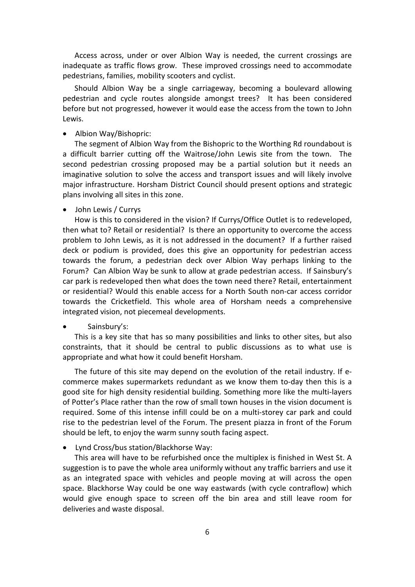Access across, under or over Albion Way is needed, the current crossings are inadequate as traffic flows grow. These improved crossings need to accommodate pedestrians, families, mobility scooters and cyclist.

Should Albion Way be a single carriageway, becoming a boulevard allowing pedestrian and cycle routes alongside amongst trees? It has been considered before but not progressed, however it would ease the access from the town to John Lewis.

## • Albion Way/Bishopric:

The segment of Albion Way from the Bishopric to the Worthing Rd roundabout is a difficult barrier cutting off the Waitrose/John Lewis site from the town. The second pedestrian crossing proposed may be a partial solution but it needs an imaginative solution to solve the access and transport issues and will likely involve major infrastructure. Horsham District Council should present options and strategic plans involving all sites in this zone.

### • John Lewis / Currys

How is this to considered in the vision? If Currys/Office Outlet is to redeveloped, then what to? Retail or residential? Is there an opportunity to overcome the access problem to John Lewis, as it is not addressed in the document? If a further raised deck or podium is provided, does this give an opportunity for pedestrian access towards the forum, a pedestrian deck over Albion Way perhaps linking to the Forum? Can Albion Way be sunk to allow at grade pedestrian access. If Sainsbury's car park is redeveloped then what does the town need there? Retail, entertainment or residential? Would this enable access for a North South non-car access corridor towards the Cricketfield. This whole area of Horsham needs a comprehensive integrated vision, not piecemeal developments.

#### • Sainsbury's:

This is a key site that has so many possibilities and links to other sites, but also constraints, that it should be central to public discussions as to what use is appropriate and what how it could benefit Horsham.

The future of this site may depend on the evolution of the retail industry. If ecommerce makes supermarkets redundant as we know them to-day then this is a good site for high density residential building. Something more like the multi-layers of Potter's Place rather than the row of small town houses in the vision document is required. Some of this intense infill could be on a multi-storey car park and could rise to the pedestrian level of the Forum. The present piazza in front of the Forum should be left, to enjoy the warm sunny south facing aspect.

### • Lynd Cross/bus station/Blackhorse Way:

This area will have to be refurbished once the multiplex is finished in West St. A suggestion is to pave the whole area uniformly without any traffic barriers and use it as an integrated space with vehicles and people moving at will across the open space. Blackhorse Way could be one way eastwards (with cycle contraflow) which would give enough space to screen off the bin area and still leave room for deliveries and waste disposal.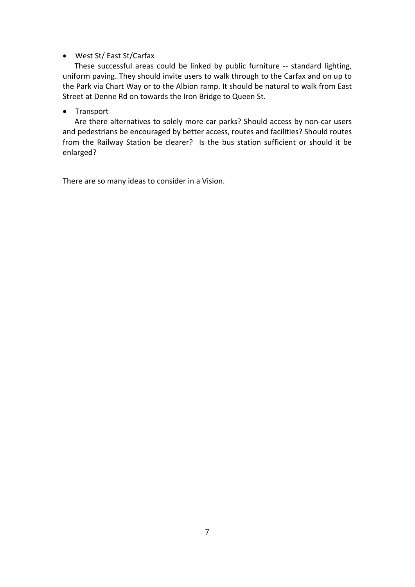# • West St/ East St/Carfax

These successful areas could be linked by public furniture -- standard lighting, uniform paving. They should invite users to walk through to the Carfax and on up to the Park via Chart Way or to the Albion ramp. It should be natural to walk from East Street at Denne Rd on towards the Iron Bridge to Queen St.

# • Transport

Are there alternatives to solely more car parks? Should access by non-car users and pedestrians be encouraged by better access, routes and facilities? Should routes from the Railway Station be clearer? Is the bus station sufficient or should it be enlarged?

There are so many ideas to consider in a Vision.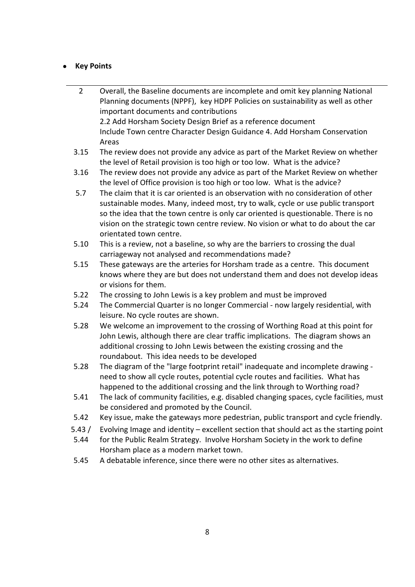# • **Key Points**

- 2 Overall, the Baseline documents are incomplete and omit key planning National Planning documents (NPPF), key HDPF Policies on sustainability as well as other important documents and contributions 2.2 Add Horsham Society Design Brief as a reference document Include Town centre Character Design Guidance 4. Add Horsham Conservation Areas
- 3.15 The review does not provide any advice as part of the Market Review on whether the level of Retail provision is too high or too low. What is the advice?
- 3.16 The review does not provide any advice as part of the Market Review on whether the level of Office provision is too high or too low. What is the advice?
- 5.7 The claim that it is car oriented is an observation with no consideration of other sustainable modes. Many, indeed most, try to walk, cycle or use public transport so the idea that the town centre is only car oriented is questionable. There is no vision on the strategic town centre review. No vision or what to do about the car orientated town centre.
- 5.10 This is a review, not a baseline, so why are the barriers to crossing the dual carriageway not analysed and recommendations made?
- 5.15 These gateways are the arteries for Horsham trade as a centre. This document knows where they are but does not understand them and does not develop ideas or visions for them.
- 5.22 The crossing to John Lewis is a key problem and must be improved
- 5.24 The Commercial Quarter is no longer Commercial now largely residential, with leisure. No cycle routes are shown.
- 5.28 We welcome an improvement to the crossing of Worthing Road at this point for John Lewis, although there are clear traffic implications. The diagram shows an additional crossing to John Lewis between the existing crossing and the roundabout. This idea needs to be developed
- 5.28 The diagram of the "large footprint retail" inadequate and incomplete drawing need to show all cycle routes, potential cycle routes and facilities. What has happened to the additional crossing and the link through to Worthing road?
- 5.41 The lack of community facilities, e.g. disabled changing spaces, cycle facilities, must be considered and promoted by the Council.
- 5.42 Key issue, make the gateways more pedestrian, public transport and cycle friendly.
- 5.43 / Evolving Image and identity – excellent section that should act as the starting point
- 5.44 for the Public Realm Strategy. Involve Horsham Society in the work to define Horsham place as a modern market town.
- 5.45 A debatable inference, since there were no other sites as alternatives.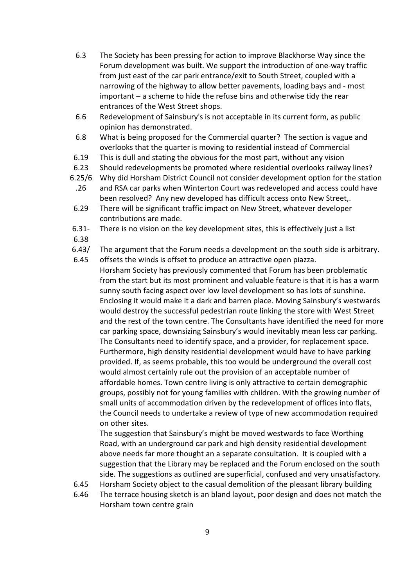- 6.3 The Society has been pressing for action to improve Blackhorse Way since the Forum development was built. We support the introduction of one-way traffic from just east of the car park entrance/exit to South Street, coupled with a narrowing of the highway to allow better pavements, loading bays and - most important – a scheme to hide the refuse bins and otherwise tidy the rear entrances of the West Street shops.
- 6.6 Redevelopment of Sainsbury's is not acceptable in its current form, as public opinion has demonstrated.
- 6.8 What is being proposed for the Commercial quarter? The section is vague and overlooks that the quarter is moving to residential instead of Commercial
- 6.19 This is dull and stating the obvious for the most part, without any vision
- 6.23 Should redevelopments be promoted where residential overlooks railway lines?
- $6.25/6$ Why did Horsham District Council not consider development option for the station
- .26 and RSA car parks when Winterton Court was redeveloped and access could have been resolved? Any new developed has difficult access onto New Street,.
- 6.29 There will be significant traffic impact on New Street, whatever developer contributions are made.
- 6.31- There is no vision on the key development sites, this is effectively just a list
- 6.38
- 6.43/ The argument that the Forum needs a development on the south side is arbitrary.
- 6.45 offsets the winds is offset to produce an attractive open piazza.
	- Horsham Society has previously commented that Forum has been problematic from the start but its most prominent and valuable feature is that it is has a warm sunny south facing aspect over low level development so has lots of sunshine. Enclosing it would make it a dark and barren place. Moving Sainsbury's westwards would destroy the successful pedestrian route linking the store with West Street and the rest of the town centre. The Consultants have identified the need for more car parking space, downsizing Sainsbury's would inevitably mean less car parking. The Consultants need to identify space, and a provider, for replacement space. Furthermore, high density residential development would have to have parking provided. If, as seems probable, this too would be underground the overall cost would almost certainly rule out the provision of an acceptable number of affordable homes. Town centre living is only attractive to certain demographic groups, possibly not for young families with children. With the growing number of small units of accommodation driven by the redevelopment of offices into flats, the Council needs to undertake a review of type of new accommodation required on other sites.

The suggestion that Sainsbury's might be moved westwards to face Worthing Road, with an underground car park and high density residential development above needs far more thought an a separate consultation. It is coupled with a suggestion that the Library may be replaced and the Forum enclosed on the south side. The suggestions as outlined are superficial, confused and very unsatisfactory.

- 6.45 Horsham Society object to the casual demolition of the pleasant library building
- 6.46 The terrace housing sketch is an bland layout, poor design and does not match the Horsham town centre grain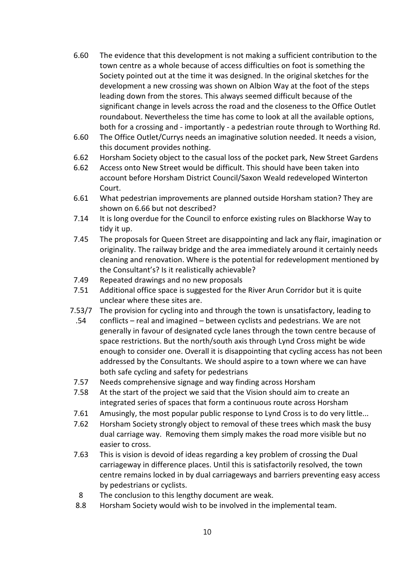- 6.60 The evidence that this development is not making a sufficient contribution to the town centre as a whole because of access difficulties on foot is something the Society pointed out at the time it was designed. In the original sketches for the development a new crossing was shown on Albion Way at the foot of the steps leading down from the stores. This always seemed difficult because of the significant change in levels across the road and the closeness to the Office Outlet roundabout. Nevertheless the time has come to look at all the available options, both for a crossing and - importantly - a pedestrian route through to Worthing Rd.
- 6.60 The Office Outlet/Currys needs an imaginative solution needed. It needs a vision, this document provides nothing.
- 6.62 Horsham Society object to the casual loss of the pocket park, New Street Gardens
- 6.62 Access onto New Street would be difficult. This should have been taken into account before Horsham District Council/Saxon Weald redeveloped Winterton Court.
- 6.61 What pedestrian improvements are planned outside Horsham station? They are shown on 6.66 but not described?
- 7.14 It is long overdue for the Council to enforce existing rules on Blackhorse Way to tidy it up.
- 7.45 The proposals for Queen Street are disappointing and lack any flair, imagination or originality. The railway bridge and the area immediately around it certainly needs cleaning and renovation. Where is the potential for redevelopment mentioned by the Consultant's? Is it realistically achievable?
- 7.49 Repeated drawings and no new proposals
- 7.51 Additional office space is suggested for the River Arun Corridor but it is quite unclear where these sites are.
- 7.53/7 The provision for cycling into and through the town is unsatisfactory, leading to
- .54 conflicts – real and imagined – between cyclists and pedestrians. We are not generally in favour of designated cycle lanes through the town centre because of space restrictions. But the north/south axis through Lynd Cross might be wide enough to consider one. Overall it is disappointing that cycling access has not been addressed by the Consultants. We should aspire to a town where we can have both safe cycling and safety for pedestrians
- 7.57 Needs comprehensive signage and way finding across Horsham
- 7.58 At the start of the project we said that the Vision should aim to create an integrated series of spaces that form a continuous route across Horsham
- 7.61 Amusingly, the most popular public response to Lynd Cross is to do very little...
- 7.62 Horsham Society strongly object to removal of these trees which mask the busy dual carriage way. Removing them simply makes the road more visible but no easier to cross.
- 7.63 This is vision is devoid of ideas regarding a key problem of crossing the Dual carriageway in difference places. Until this is satisfactorily resolved, the town centre remains locked in by dual carriageways and barriers preventing easy access by pedestrians or cyclists.
- 8 The conclusion to this lengthy document are weak.
- 8.8 Horsham Society would wish to be involved in the implemental team.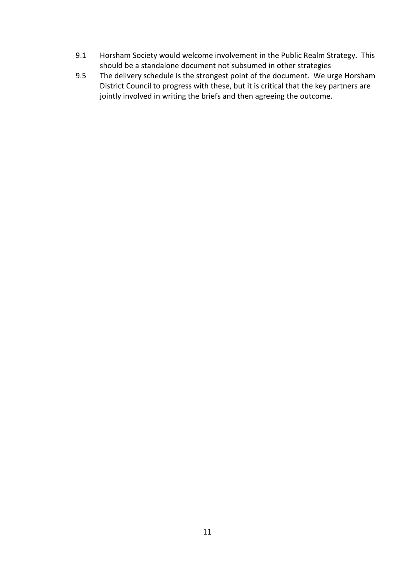- 9.1 Horsham Society would welcome involvement in the Public Realm Strategy. This should be a standalone document not subsumed in other strategies
- 9.5 The delivery schedule is the strongest point of the document. We urge Horsham District Council to progress with these, but it is critical that the key partners are jointly involved in writing the briefs and then agreeing the outcome.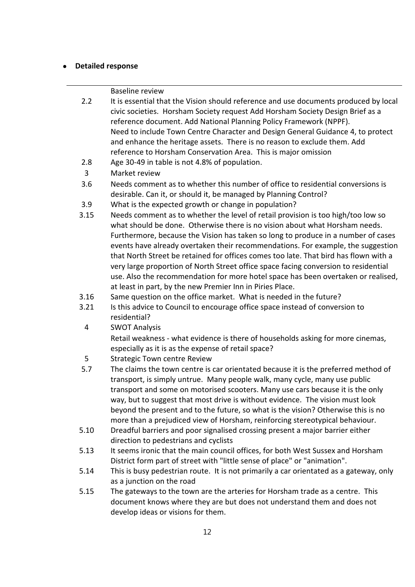# • **Detailed response**

Baseline review

- 2.2 It is essential that the Vision should reference and use documents produced by local civic societies. Horsham Society request Add Horsham Society Design Brief as a reference document. Add National Planning Policy Framework (NPPF). Need to include Town Centre Character and Design General Guidance 4, to protect and enhance the heritage assets. There is no reason to exclude them. Add reference to Horsham Conservation Area. This is major omission
- 2.8 Age 30-49 in table is not 4.8% of population.
- 3 Market review
- 3.6 Needs comment as to whether this number of office to residential conversions is desirable. Can it, or should it, be managed by Planning Control?
- 3.9 What is the expected growth or change in population?
- 3.15 Needs comment as to whether the level of retail provision is too high/too low so what should be done. Otherwise there is no vision about what Horsham needs. Furthermore, because the Vision has taken so long to produce in a number of cases events have already overtaken their recommendations. For example, the suggestion that North Street be retained for offices comes too late. That bird has flown with a very large proportion of North Street office space facing conversion to residential use. Also the recommendation for more hotel space has been overtaken or realised, at least in part, by the new Premier Inn in Piries Place.
- 3.16 Same question on the office market. What is needed in the future?
- 3.21 Is this advice to Council to encourage office space instead of conversion to residential?
	- 4 SWOT Analysis

Retail weakness - what evidence is there of households asking for more cinemas, especially as it is as the expense of retail space?

- 5 Strategic Town centre Review
- 5.7 The claims the town centre is car orientated because it is the preferred method of transport, is simply untrue. Many people walk, many cycle, many use public transport and some on motorised scooters. Many use cars because it is the only way, but to suggest that most drive is without evidence. The vision must look beyond the present and to the future, so what is the vision? Otherwise this is no more than a prejudiced view of Horsham, reinforcing stereotypical behaviour.
- 5.10 Dreadful barriers and poor signalised crossing present a major barrier either direction to pedestrians and cyclists
- 5.13 It seems ironic that the main council offices, for both West Sussex and Horsham District form part of street with "little sense of place" or "animation".
- 5.14 This is busy pedestrian route. It is not primarily a car orientated as a gateway, only as a junction on the road
- 5.15 The gateways to the town are the arteries for Horsham trade as a centre. This document knows where they are but does not understand them and does not develop ideas or visions for them.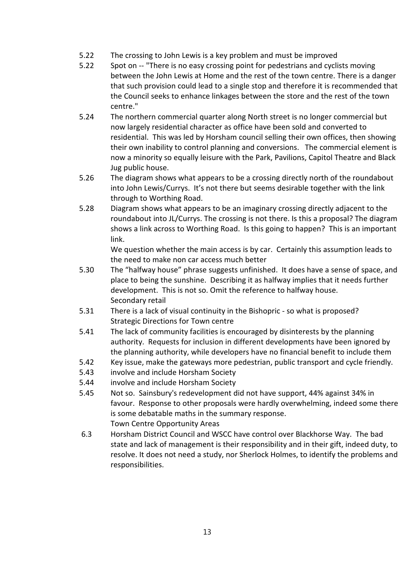- 5.22 The crossing to John Lewis is a key problem and must be improved
- 5.22 Spot on -- "There is no easy crossing point for pedestrians and cyclists moving between the John Lewis at Home and the rest of the town centre. There is a danger that such provision could lead to a single stop and therefore it is recommended that the Council seeks to enhance linkages between the store and the rest of the town centre."
- 5.24 The northern commercial quarter along North street is no longer commercial but now largely residential character as office have been sold and converted to residential. This was led by Horsham council selling their own offices, then showing their own inability to control planning and conversions. The commercial element is now a minority so equally leisure with the Park, Pavilions, Capitol Theatre and Black Jug public house.
- 5.26 The diagram shows what appears to be a crossing directly north of the roundabout into John Lewis/Currys. It's not there but seems desirable together with the link through to Worthing Road.
- 5.28 Diagram shows what appears to be an imaginary crossing directly adjacent to the roundabout into JL/Currys. The crossing is not there. Is this a proposal? The diagram shows a link across to Worthing Road. Is this going to happen? This is an important link.

We question whether the main access is by car. Certainly this assumption leads to the need to make non car access much better

- 5.30 The "halfway house" phrase suggests unfinished. It does have a sense of space, and place to being the sunshine. Describing it as halfway implies that it needs further development. This is not so. Omit the reference to halfway house. Secondary retail
- 5.31 There is a lack of visual continuity in the Bishopric so what is proposed? Strategic Directions for Town centre
- 5.41 The lack of community facilities is encouraged by disinterests by the planning authority. Requests for inclusion in different developments have been ignored by the planning authority, while developers have no financial benefit to include them
- 5.42 Key issue, make the gateways more pedestrian, public transport and cycle friendly.
- 5.43 involve and include Horsham Society
- 5.44 involve and include Horsham Society
- 5.45 Not so. Sainsbury's redevelopment did not have support, 44% against 34% in favour. Response to other proposals were hardly overwhelming, indeed some there is some debatable maths in the summary response. Town Centre Opportunity Areas
- 6.3 Horsham District Council and WSCC have control over Blackhorse Way. The bad state and lack of management is their responsibility and in their gift, indeed duty, to resolve. It does not need a study, nor Sherlock Holmes, to identify the problems and responsibilities.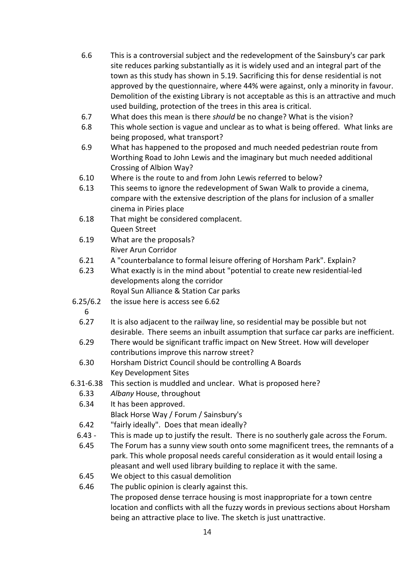| 6.6       | This is a controversial subject and the redevelopment of the Sainsbury's car park<br>site reduces parking substantially as it is widely used and an integral part of the<br>town as this study has shown in 5.19. Sacrificing this for dense residential is not<br>approved by the questionnaire, where 44% were against, only a minority in favour. |
|-----------|------------------------------------------------------------------------------------------------------------------------------------------------------------------------------------------------------------------------------------------------------------------------------------------------------------------------------------------------------|
|           | Demolition of the existing Library is not acceptable as this is an attractive and much                                                                                                                                                                                                                                                               |
|           | used building, protection of the trees in this area is critical.                                                                                                                                                                                                                                                                                     |
| 6.7       | What does this mean is there should be no change? What is the vision?                                                                                                                                                                                                                                                                                |
| 6.8       | This whole section is vague and unclear as to what is being offered. What links are<br>being proposed, what transport?                                                                                                                                                                                                                               |
| 6.9       | What has happened to the proposed and much needed pedestrian route from                                                                                                                                                                                                                                                                              |
|           | Worthing Road to John Lewis and the imaginary but much needed additional                                                                                                                                                                                                                                                                             |
|           | Crossing of Albion Way?                                                                                                                                                                                                                                                                                                                              |
| 6.10      | Where is the route to and from John Lewis referred to below?                                                                                                                                                                                                                                                                                         |
| 6.13      | This seems to ignore the redevelopment of Swan Walk to provide a cinema,                                                                                                                                                                                                                                                                             |
|           | compare with the extensive description of the plans for inclusion of a smaller                                                                                                                                                                                                                                                                       |
|           | cinema in Piries place                                                                                                                                                                                                                                                                                                                               |
| 6.18      | That might be considered complacent.                                                                                                                                                                                                                                                                                                                 |
|           | Queen Street                                                                                                                                                                                                                                                                                                                                         |
| 6.19      | What are the proposals?                                                                                                                                                                                                                                                                                                                              |
|           | <b>River Arun Corridor</b>                                                                                                                                                                                                                                                                                                                           |
| 6.21      | A "counterbalance to formal leisure offering of Horsham Park". Explain?                                                                                                                                                                                                                                                                              |
| 6.23      | What exactly is in the mind about "potential to create new residential-led                                                                                                                                                                                                                                                                           |
|           | developments along the corridor                                                                                                                                                                                                                                                                                                                      |
|           | Royal Sun Alliance & Station Car parks                                                                                                                                                                                                                                                                                                               |
| 6.25/6.2  | the issue here is access see 6.62                                                                                                                                                                                                                                                                                                                    |
| 6         |                                                                                                                                                                                                                                                                                                                                                      |
| 6.27      | It is also adjacent to the railway line, so residential may be possible but not                                                                                                                                                                                                                                                                      |
|           | desirable. There seems an inbuilt assumption that surface car parks are inefficient.                                                                                                                                                                                                                                                                 |
| 6.29      | There would be significant traffic impact on New Street. How will developer<br>contributions improve this narrow street?                                                                                                                                                                                                                             |
| 6.30      | Horsham District Council should be controlling A Boards                                                                                                                                                                                                                                                                                              |
|           | <b>Key Development Sites</b>                                                                                                                                                                                                                                                                                                                         |
| 6.31-6.38 | This section is muddled and unclear. What is proposed here?                                                                                                                                                                                                                                                                                          |
| 6.33      | Albany House, throughout                                                                                                                                                                                                                                                                                                                             |
| 6.34      | It has been approved.                                                                                                                                                                                                                                                                                                                                |
|           | Black Horse Way / Forum / Sainsbury's                                                                                                                                                                                                                                                                                                                |
| 6.42      | "fairly ideally". Does that mean ideally?                                                                                                                                                                                                                                                                                                            |
| $6.43 -$  | This is made up to justify the result. There is no southerly gale across the Forum.                                                                                                                                                                                                                                                                  |
| 6.45      | The Forum has a sunny view south onto some magnificent trees, the remnants of a                                                                                                                                                                                                                                                                      |
|           | park. This whole proposal needs careful consideration as it would entail losing a                                                                                                                                                                                                                                                                    |
|           | pleasant and well used library building to replace it with the same.                                                                                                                                                                                                                                                                                 |
| 6.45      | We object to this casual demolition                                                                                                                                                                                                                                                                                                                  |
| 6.46      | The public opinion is clearly against this.                                                                                                                                                                                                                                                                                                          |
|           | The proposed dense terrace housing is most inappropriate for a town centre                                                                                                                                                                                                                                                                           |
|           | location and conflicts with all the fuzzy words in previous sections about Horsham                                                                                                                                                                                                                                                                   |

being an attractive place to live. The sketch is just unattractive.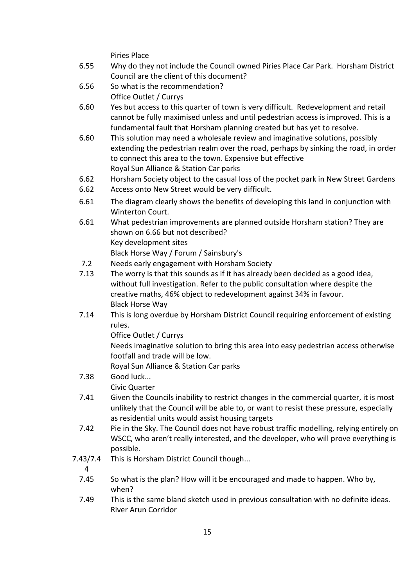Piries Place

- 6.55 Why do they not include the Council owned Piries Place Car Park. Horsham District Council are the client of this document?
- 6.56 So what is the recommendation? Office Outlet / Currys
- 6.60 Yes but access to this quarter of town is very difficult. Redevelopment and retail cannot be fully maximised unless and until pedestrian access is improved. This is a fundamental fault that Horsham planning created but has yet to resolve.
- 6.60 This solution may need a wholesale review and imaginative solutions, possibly extending the pedestrian realm over the road, perhaps by sinking the road, in order to connect this area to the town. Expensive but effective Royal Sun Alliance & Station Car parks
- 6.62 Horsham Society object to the casual loss of the pocket park in New Street Gardens
- 6.62 Access onto New Street would be very difficult.
- 6.61 The diagram clearly shows the benefits of developing this land in conjunction with Winterton Court.
- 6.61 What pedestrian improvements are planned outside Horsham station? They are shown on 6.66 but not described? Key development sites Black Horse Way / Forum / Sainsbury's
- 7.2 Needs early engagement with Horsham Society
- 7.13 The worry is that this sounds as if it has already been decided as a good idea, without full investigation. Refer to the public consultation where despite the creative maths, 46% object to redevelopment against 34% in favour. Black Horse Way
- 7.14 This is long overdue by Horsham District Council requiring enforcement of existing rules.
	- Office Outlet / Currys

Needs imaginative solution to bring this area into easy pedestrian access otherwise footfall and trade will be low.

Royal Sun Alliance & Station Car parks

# 7.38 Good luck...

# Civic Quarter

- 7.41 Given the Councils inability to restrict changes in the commercial quarter, it is most unlikely that the Council will be able to, or want to resist these pressure, especially as residential units would assist housing targets
- 7.42 Pie in the Sky. The Council does not have robust traffic modelling, relying entirely on WSCC, who aren't really interested, and the developer, who will prove everything is possible.
- 7.43/7.4 This is Horsham District Council though...
	- 4
- 
- 7.45 So what is the plan? How will it be encouraged and made to happen. Who by, when?
- 7.49 This is the same bland sketch used in previous consultation with no definite ideas. River Arun Corridor